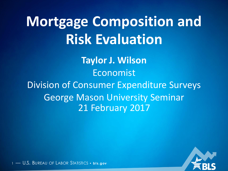# **Mortgage Composition and Risk Evaluation**

**Taylor J. Wilson** Economist Division of Consumer Expenditure Surveys George Mason University Seminar 21 February 2017



U.S. BUREAU OF LABOR STATISTICS • **bls.gov**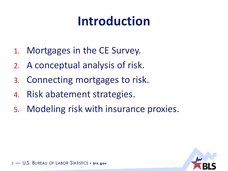## **Introduction**

- 1. Mortgages in the CE Survey.
- 2. A conceptual analysis of risk.
- 3. Connecting mortgages to risk.
- 4. Risk abatement strategies.
- 5. Modeling risk with insurance proxies.

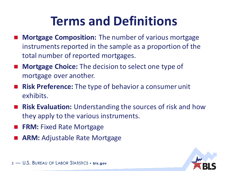#### **Terms and Definitions**

- **Mortgage Composition:** The number of various mortgage instruments reported in the sample as a proportion of the total number of reported mortgages.
- Mortgage Choice: The decision to select one type of mortgage over another.
- **Risk Preference:** The type of behavior a consumer unit exhibits.
- **Risk Evaluation:** Understanding the sources of risk and how they apply to the various instruments.
- **FRM: Fixed Rate Mortgage**
- **ARM:** Adjustable Rate Mortgage



3 - U.S. BUREAU OF LABOR STATISTICS • **bis.gov**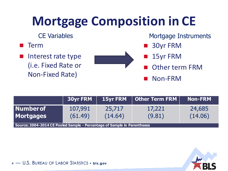## **Mortgage Composition in CE**

- Term
- Interest rate type (i.e. Fixed Rate or Non-Fixed Rate)



CE Variables **Mortgage Instruments** 

- 30yr FRM
- 15yr FRM
- Other term FRM

Non-FRM

|                                                                          | <b>30yr FRM</b>    |                   | <b>15yr FRM</b> $\parallel$ Other Term FRM $\parallel$ | <b>Non-FRM</b>    |
|--------------------------------------------------------------------------|--------------------|-------------------|--------------------------------------------------------|-------------------|
| <b>Number of</b><br><b>Mortgages</b>                                     | 107,991<br>(61.49) | 25,717<br>(14.64) | 17,221<br>(9.81)                                       | 24,685<br>(14.06) |
| Source: 2004-2014 CE Pooled Sample - Percentage of Sample in Parentheses |                    |                   |                                                        |                   |



<sup>4</sup> — U.S. BUREAU OF LABOR STATISTICS • **bl s.gov**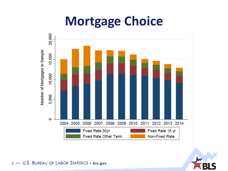



5 - U.S. BUREAU OF LABOR STATISTICS . bis.gov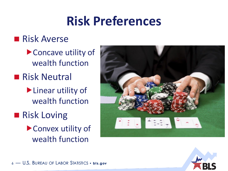#### **Risk Preferences**

#### **Risk Averse**

- ▶ Concave utility of wealth function
- **Risk Neutral** 
	- **Linear utility of** wealth function
- Risk Loving
	- ▶ Convex utility of wealth function





<sup>6</sup> — U.S. BUREAU OF LABOR STATISTICS • **bl s.gov**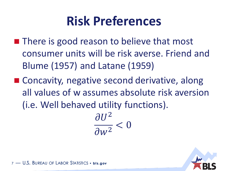#### **Risk Preferences**

- $\blacksquare$  There is good reason to believe that most consumer units will be risk averse. Friend and Blume (1957) and Latane (1959)
- Concavity, negative second derivative, along all values of w assumes absolute risk aversion (i.e. Well behaved utility functions).

 $\partial U^2$  $\partial w^2$  $< 0$ 



U.S. BUREAU OF LABOR STATISTICS • **bls.gov**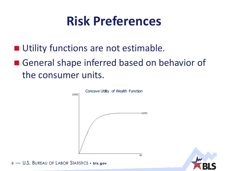#### **Risk Preferences**

- **Utility functions are not estimable.**
- General shape inferred based on behavior of the consumer units.





8 - U.S. BUREAU OF LABOR STATISTICS · bis.gov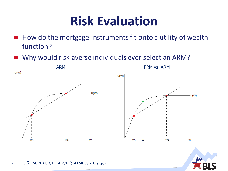#### **Risk Evaluation**

- $\blacksquare$  How do the mortgage instruments fit onto a utility of wealth function?
- Why would risk averse individuals ever select an ARM?



9 - U.S. BUREAU OF LABOR STATISTICS • **bis.gov**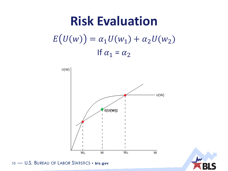## **Risk Evaluation**  $E(U(w)) = \alpha_1 U(w_1) + \alpha_2 U(w_2)$ If  $\alpha_1 = \alpha_2$





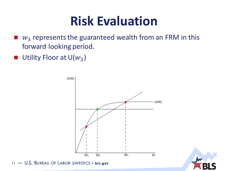#### **Risk Evaluation**

- $w_3$  represents the guaranteed wealth from an FRM in this forward looking period.
- Utility Floor at  $U(w_3)$  $\mathcal{L}_{\text{max}}$





11 - U.S. BUREAU OF LABOR STATISTICS . bis.gov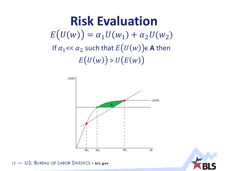#### **Risk Evaluation**  $E(U(w)) = \alpha_1 U(w_1) + \alpha_2 U(w_2)$ If  $\alpha_1$  <<  $\alpha_2$  such that  $E(U(w))$   $\in$  A then  $E(U(w)) > U(E(w))$





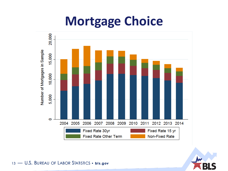



13 - U.S. BUREAU OF LABOR STATISTICS . bis.gov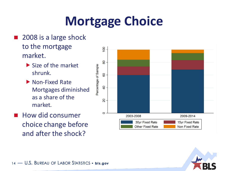#### ■ 2008 is a large shock to the mortgage market.

- $\triangleright$  Size of the market shrunk.
- Mon-Fixed Rate Mortgages diminished as a share of the market.
- $\blacksquare$  How did consumer choice change before and after the shock?



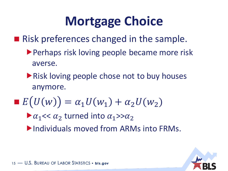■ Risk preferences changed in the sample.

- **Perhaps risk loving people became more risk** averse.
- **Risk loving people chose not to buy houses** anymore.
- $E(U(w)) = \alpha_1 U(w_1) + \alpha_2 U(w_2)$

 $\blacktriangleright \alpha_1 \ll \alpha_2$  turned into  $\alpha_1 \gg \alpha_2$ Individuals moved from ARMs into FRMs.